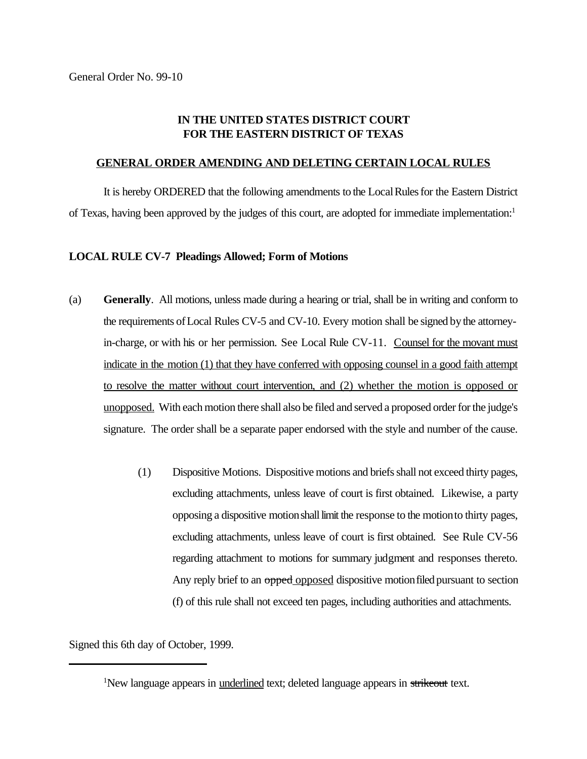## **IN THE UNITED STATES DISTRICT COURT FOR THE EASTERN DISTRICT OF TEXAS**

## **GENERAL ORDER AMENDING AND DELETING CERTAIN LOCAL RULES**

It is hereby ORDERED that the following amendments to the LocalRulesfor the Eastern District of Texas, having been approved by the judges of this court, are adopted for immediate implementation:<sup>1</sup>

## **LOCAL RULE CV-7 Pleadings Allowed; Form of Motions**

- (a) **Generally**. All motions, unless made during a hearing or trial, shall be in writing and conform to the requirements ofLocal Rules CV-5 and CV-10. Every motion shall be signed bythe attorneyin-charge, or with his or her permission. See Local Rule CV-11. Counsel for the movant must indicate in the motion (1) that they have conferred with opposing counsel in a good faith attempt to resolve the matter without court intervention, and (2) whether the motion is opposed or unopposed. With each motion there shall also be filed and served a proposed order for the judge's signature. The order shall be a separate paper endorsed with the style and number of the cause.
	- (1) Dispositive Motions. Dispositive motions and briefs shall not exceed thirty pages, excluding attachments, unless leave of court is first obtained. Likewise, a party opposing a dispositive motionshalllimit the response to the motionto thirty pages, excluding attachments, unless leave of court is first obtained. See Rule CV-56 regarding attachment to motions for summary judgment and responses thereto. Any reply brief to an opped opposed dispositive motion filed pursuant to section (f) of this rule shall not exceed ten pages, including authorities and attachments.

Signed this 6th day of October, 1999.

<sup>&</sup>lt;sup>1</sup>New language appears in <u>underlined</u> text; deleted language appears in strikeout text.